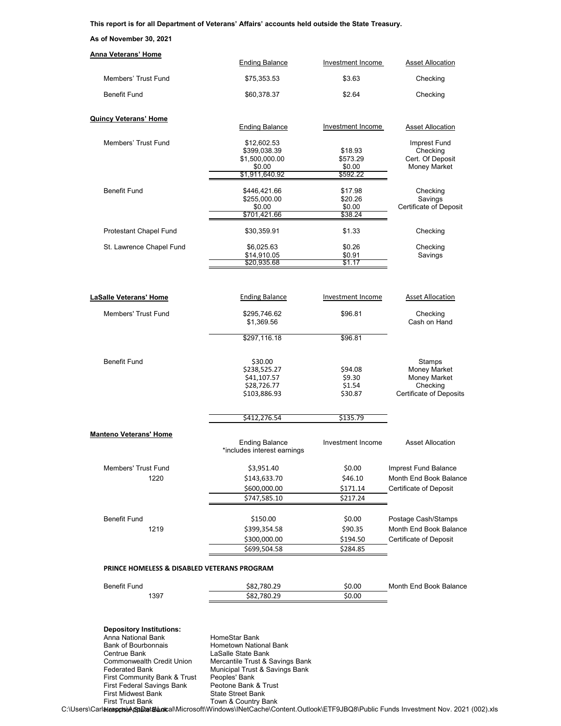## **This report is for all Department of Veterans' Affairs' accounts held outside the State Treasury.**

## **As of November 30, 2021**

| Anna Veterans' Home                         | <b>Ending Balance</b>                                | Investment Income  | <b>Asset Allocation</b>           |
|---------------------------------------------|------------------------------------------------------|--------------------|-----------------------------------|
|                                             |                                                      |                    |                                   |
| Members' Trust Fund                         | \$75,353.53                                          | \$3.63             | Checking                          |
| <b>Benefit Fund</b>                         | \$60,378.37                                          | \$2.64             | Checking                          |
| <b>Quincy Veterans' Home</b>                | <b>Ending Balance</b>                                | Investment Income  | <b>Asset Allocation</b>           |
|                                             |                                                      |                    |                                   |
| Members' Trust Fund                         | \$12,602.53<br>\$399.038.39                          | \$18.93            | Imprest Fund<br>Checking          |
|                                             | \$1,500,000.00                                       | \$573.29           | Cert. Of Deposit                  |
|                                             | \$0.00<br>\$1,911,640.92                             | \$0.00<br>\$592.22 | <b>Money Market</b>               |
|                                             |                                                      |                    |                                   |
| <b>Benefit Fund</b>                         | \$446,421.66                                         | \$17.98            | Checking                          |
|                                             | \$255,000.00<br>\$0.00                               | \$20.26<br>\$0.00  | Savings<br>Certificate of Deposit |
|                                             | \$701,421.66                                         | \$38.24            |                                   |
| Protestant Chapel Fund                      | \$30,359.91                                          | \$1.33             | Checking                          |
| St. Lawrence Chapel Fund                    | \$6,025.63                                           | \$0.26             | Checking                          |
|                                             | \$14,910.05                                          | \$0.91             | Savings                           |
|                                             | \$20,935.68                                          | \$1.17             |                                   |
| <b>LaSalle Veterans' Home</b>               | <b>Ending Balance</b>                                | Investment Income  | <b>Asset Allocation</b>           |
| <b>Members' Trust Fund</b>                  | \$295.746.62                                         | \$96.81            | Checking                          |
|                                             | \$1,369.56                                           |                    | Cash on Hand                      |
|                                             | \$297,116.18                                         | \$96.81            |                                   |
| <b>Benefit Fund</b>                         | \$30.00                                              |                    | Stamps                            |
|                                             | \$238,525.27                                         | \$94.08            | <b>Money Market</b>               |
|                                             | \$41,107.57                                          | \$9.30             | Money Market<br>Checking          |
|                                             | \$28,726.77<br>\$103,886.93                          | \$1.54<br>\$30.87  | <b>Certificate of Deposits</b>    |
|                                             | \$412,276.54                                         | \$135.79           |                                   |
|                                             |                                                      |                    |                                   |
| <b>Manteno Veterans' Home</b>               | <b>Ending Balance</b><br>*includes interest earnings | Investment Income  | <b>Asset Allocation</b>           |
| Members' Trust Fund                         | \$3,951.40                                           | \$0.00             | Imprest Fund Balance              |
| 1220                                        | \$143,633.70                                         | \$46.10            | Month End Book Balance            |
|                                             | \$600,000.00                                         | \$171.14           | Certificate of Deposit            |
|                                             | \$747,585.10                                         | \$217.24           |                                   |
| Benefit Fund                                | \$150.00                                             | \$0.00             | Postage Cash/Stamps               |
| 1219                                        | \$399,354.58                                         | \$90.35            | Month End Book Balance            |
|                                             | \$300,000.00                                         | \$194.50           | Certificate of Deposit            |
|                                             | \$699,504.58                                         | \$284.85           |                                   |
| PRINCE HOMELESS & DISABLED VETERANS PROGRAM |                                                      |                    |                                   |
| <b>Bonofit Fund</b>                         | <b>CON 700 70</b>                                    | sn nn              | Month End Book Balance            |

| Benefit<br>-und | 780.29<br>- S82., | \$0.00 | Balance<br>Fnd<br>Month "<br>. Book |
|-----------------|-------------------|--------|-------------------------------------|
| 1397            | 780.29<br>S82.,   | \$0.00 |                                     |
|                 |                   |        |                                     |

## **Depository Institutions:**

Anna National Bank<br>
Bank of Bourbonnais<br>
Hometown Natio Bank of Bourbonnais **Hometown National Bank**<br>Centrue Bank **Centrue Bank** LaSalle State Bank Centrue Bank LaSalle State Bank<br>Commonwealth Credit Union Mercantile Trust & S<br>Federated Bank Municipal Trust & S First Community Bank & Trust Peoples' Bank<br>
First Federal Savings Bank Peotone Bank & Trust First Federal Savings Bank Peotone Bank & Trust First Midwest Bank State Street Bank First Trust Bank Town & Country Bank

Commonwealth Credit Union Mercantile Trust & Savings Bank Federated Bank Municipal Trust & Savings Bank

C:\Users\Carlaleapps\AppData\AppData\Microsoft\Windows\INetCache\Content.Outlook\ETF9JBQ8\Public Funds Investment Nov. 2021 (002).xls